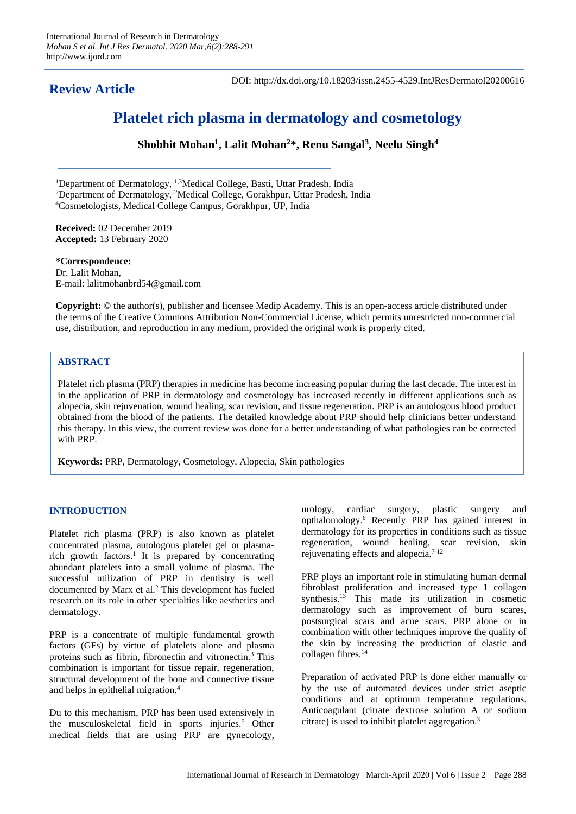# **Review Article**

DOI: http://dx.doi.org/10.18203/issn.2455-4529.IntJResDermatol20200616

# **Platelet rich plasma in dermatology and cosmetology**

**Shobhit Mohan<sup>1</sup> , Lalit Mohan<sup>2</sup>\*, Renu Sangal<sup>3</sup> , Neelu Singh<sup>4</sup>**

<sup>1</sup>Department of Dermatology, <sup>1,3</sup>Medical College, Basti, Uttar Pradesh, India <sup>2</sup>Department of Dermatology, <sup>2</sup>Medical College, Gorakhpur, Uttar Pradesh, India <sup>4</sup>Cosmetologists, Medical College Campus, Gorakhpur, UP, India

**Received:** 02 December 2019 **Accepted:** 13 February 2020

**\*Correspondence:** Dr. Lalit Mohan, E-mail: lalitmohanbrd54@gmail.com

**Copyright:** © the author(s), publisher and licensee Medip Academy. This is an open-access article distributed under the terms of the Creative Commons Attribution Non-Commercial License, which permits unrestricted non-commercial use, distribution, and reproduction in any medium, provided the original work is properly cited.

## **ABSTRACT**

Platelet rich plasma (PRP) therapies in medicine has become increasing popular during the last decade. The interest in in the application of PRP in dermatology and cosmetology has increased recently in different applications such as alopecia, skin rejuvenation, wound healing, scar revision, and tissue regeneration. PRP is an autologous blood product obtained from the blood of the patients. The detailed knowledge about PRP should help clinicians better understand this therapy. In this view, the current review was done for a better understanding of what pathologies can be corrected with PRP.

**Keywords:** PRP, Dermatology, Cosmetology, Alopecia, Skin pathologies

### **INTRODUCTION**

Platelet rich plasma (PRP) is also known as platelet concentrated plasma, autologous platelet gel or plasmarich growth factors.<sup>1</sup> It is prepared by concentrating abundant platelets into a small volume of plasma. The successful utilization of PRP in dentistry is well documented by Marx et al.<sup>2</sup> This development has fueled research on its role in other specialties like aesthetics and dermatology.

PRP is a concentrate of multiple fundamental growth factors (GFs) by virtue of platelets alone and plasma proteins such as fibrin, fibronectin and vitronectin.<sup>3</sup> This combination is important for tissue repair, regeneration, structural development of the bone and connective tissue and helps in epithelial migration.<sup>4</sup>

Du to this mechanism, PRP has been used extensively in the musculoskeletal field in sports injuries.<sup>5</sup> Other medical fields that are using PRP are gynecology, urology, cardiac surgery, plastic surgery and opthalomology.<sup>6</sup> Recently PRP has gained interest in dermatology for its properties in conditions such as tissue regeneration, wound healing, scar revision, skin rejuvenating effects and alopecia.7-12

PRP plays an important role in stimulating human dermal fibroblast proliferation and increased type 1 collagen synthesis. $13$  This made its utilization in cosmetic dermatology such as improvement of burn scares, postsurgical scars and acne scars. PRP alone or in combination with other techniques improve the quality of the skin by increasing the production of elastic and collagen fibres.<sup>14</sup>

Preparation of activated PRP is done either manually or by the use of automated devices under strict aseptic conditions and at optimum temperature regulations. Anticoagulant (citrate dextrose solution A or sodium citrate) is used to inhibit platelet aggregation.<sup>3</sup>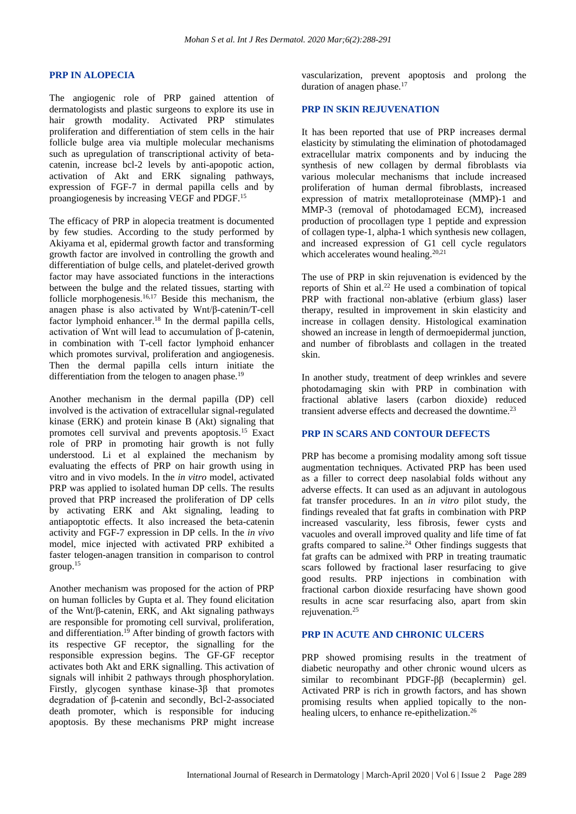#### **PRP IN ALOPECIA**

The angiogenic role of PRP gained attention of dermatologists and plastic surgeons to explore its use in hair growth modality. Activated PRP stimulates proliferation and differentiation of stem cells in the hair follicle bulge area via multiple molecular mechanisms such as upregulation of transcriptional activity of betacatenin, increase bcl-2 levels by anti-apopotic action, activation of Akt and ERK signaling pathways, expression of FGF-7 in dermal papilla cells and by proangiogenesis by increasing VEGF and PDGF.<sup>15</sup>

The efficacy of PRP in alopecia treatment is documented by few studies. According to the study performed by Akiyama et al, epidermal growth factor and transforming growth factor are involved in controlling the growth and differentiation of bulge cells, and platelet-derived growth factor may have associated functions in the interactions between the bulge and the related tissues, starting with follicle morphogenesis.<sup>16,17</sup> Beside this mechanism, the anagen phase is also activated by Wnt/β-catenin/T-cell factor lymphoid enhancer.<sup>18</sup> In the dermal papilla cells, activation of Wnt will lead to accumulation of β-catenin, in combination with T-cell factor lymphoid enhancer which promotes survival, proliferation and angiogenesis. Then the dermal papilla cells inturn initiate the differentiation from the telogen to anagen phase.<sup>19</sup>

Another mechanism in the dermal papilla (DP) cell involved is the activation of extracellular signal-regulated kinase (ERK) and protein kinase B (Akt) signaling that promotes cell survival and prevents apoptosis.<sup>15</sup> Exact role of PRP in promoting hair growth is not fully understood. Li et al explained the mechanism by evaluating the effects of PRP on hair growth using in vitro and in vivo models. In the *in vitro* model, activated PRP was applied to isolated human DP cells. The results proved that PRP increased the proliferation of DP cells by activating ERK and Akt signaling, leading to antiapoptotic effects. It also increased the beta-catenin activity and FGF-7 expression in DP cells. In the *in vivo* model, mice injected with activated PRP exhibited a faster telogen-anagen transition in comparison to control group.<sup>15</sup>

Another mechanism was proposed for the action of PRP on human follicles by Gupta et al. They found elicitation of the Wnt/β-catenin, ERK, and Akt signaling pathways are responsible for promoting cell survival, proliferation, and differentiation.<sup>19</sup> After binding of growth factors with its respective GF receptor, the signalling for the responsible expression begins. The GF-GF receptor activates both Akt and ERK signalling. This activation of signals will inhibit 2 pathways through phosphorylation. Firstly, glycogen synthase kinase-3β that promotes degradation of β-catenin and secondly, Bcl-2-associated death promoter, which is responsible for inducing apoptosis. By these mechanisms PRP might increase vascularization, prevent apoptosis and prolong the duration of anagen phase.<sup>17</sup>

#### **PRP IN SKIN REJUVENATION**

It has been reported that use of PRP increases dermal elasticity by stimulating the elimination of photodamaged extracellular matrix components and by inducing the synthesis of new collagen by dermal fibroblasts via various molecular mechanisms that include increased proliferation of human dermal fibroblasts, increased expression of matrix metalloproteinase (MMP)-1 and MMP-3 (removal of photodamaged ECM), increased production of procollagen type 1 peptide and expression of collagen type-1, alpha-1 which synthesis new collagen, and increased expression of G1 cell cycle regulators which accelerates wound healing.<sup>20,21</sup>

The use of PRP in skin rejuvenation is evidenced by the reports of Shin et al.<sup>22</sup> He used a combination of topical PRP with fractional non-ablative (erbium glass) laser therapy, resulted in improvement in skin elasticity and increase in collagen density. Histological examination showed an increase in length of dermoepidermal junction, and number of fibroblasts and collagen in the treated skin.

In another study, treatment of deep wrinkles and severe photodamaging skin with PRP in combination with fractional ablative lasers (carbon dioxide) reduced transient adverse effects and decreased the downtime.<sup>23</sup>

#### **PRP IN SCARS AND CONTOUR DEFECTS**

PRP has become a promising modality among soft tissue augmentation techniques. Activated PRP has been used as a filler to correct deep nasolabial folds without any adverse effects. It can used as an adjuvant in autologous fat transfer procedures. In an *in vitro* pilot study, the findings revealed that fat grafts in combination with PRP increased vascularity, less fibrosis, fewer cysts and vacuoles and overall improved quality and life time of fat grafts compared to saline.<sup>24</sup> Other findings suggests that fat grafts can be admixed with PRP in treating traumatic scars followed by fractional laser resurfacing to give good results. PRP injections in combination with fractional carbon dioxide resurfacing have shown good results in acne scar resurfacing also, apart from skin rejuvenation.<sup>25</sup>

#### **PRP IN ACUTE AND CHRONIC ULCERS**

PRP showed promising results in the treatment of diabetic neuropathy and other chronic wound ulcers as similar to recombinant PDGF-ββ (becaplermin) gel. Activated PRP is rich in growth factors, and has shown promising results when applied topically to the nonhealing ulcers, to enhance re-epithelization.<sup>26</sup>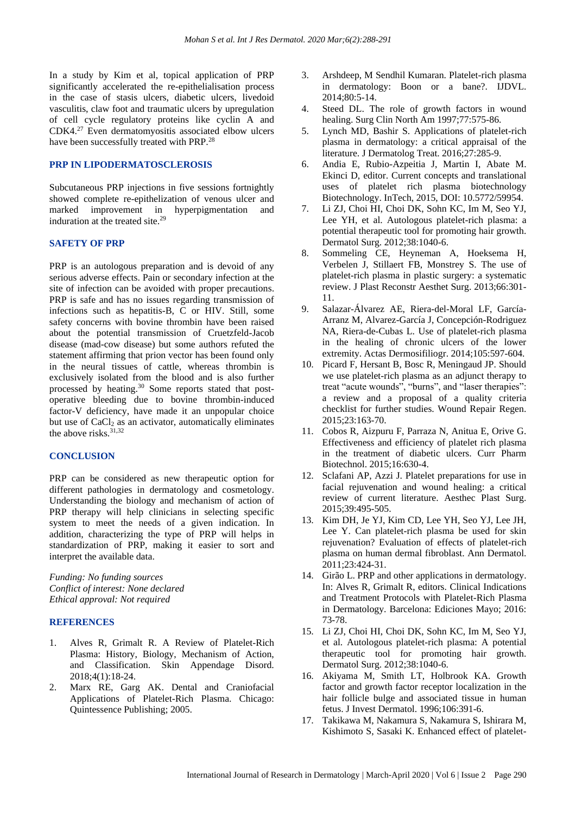In a study by Kim et al, topical application of PRP significantly accelerated the re-epithelialisation process in the case of stasis ulcers, diabetic ulcers, livedoid vasculitis, claw foot and traumatic ulcers by upregulation of cell cycle regulatory proteins like cyclin A and CDK4.<sup>27</sup> Even dermatomyositis associated elbow ulcers have been successfully treated with PRP.<sup>28</sup>

#### **PRP IN LIPODERMATOSCLEROSIS**

Subcutaneous PRP injections in five sessions fortnightly showed complete re-epithelization of venous ulcer and marked improvement in hyperpigmentation and induration at the treated site.<sup>29</sup>

#### **SAFETY OF PRP**

PRP is an autologous preparation and is devoid of any serious adverse effects. Pain or secondary infection at the site of infection can be avoided with proper precautions. PRP is safe and has no issues regarding transmission of infections such as hepatitis-B, C or HIV. Still, some safety concerns with bovine thrombin have been raised about the potential transmission of Cruetzfeld-Jacob disease (mad-cow disease) but some authors refuted the statement affirming that prion vector has been found only in the neural tissues of cattle, whereas thrombin is exclusively isolated from the blood and is also further processed by heating.<sup>30</sup> Some reports stated that postoperative bleeding due to bovine thrombin-induced factor-V deficiency, have made it an unpopular choice but use of  $CaCl<sub>2</sub>$  as an activator, automatically eliminates the above risks.31,32

#### **CONCLUSION**

PRP can be considered as new therapeutic option for different pathologies in dermatology and cosmetology. Understanding the biology and mechanism of action of PRP therapy will help clinicians in selecting specific system to meet the needs of a given indication. In addition, characterizing the type of PRP will helps in standardization of PRP, making it easier to sort and interpret the available data.

*Funding: No funding sources Conflict of interest: None declared Ethical approval: Not required*

#### **REFERENCES**

- 1. Alves R, Grimalt R. A Review of Platelet-Rich Plasma: History, Biology, Mechanism of Action, and Classification. Skin Appendage Disord. 2018;4(1):18-24.
- 2. Marx RE, Garg AK. Dental and Craniofacial Applications of Platelet-Rich Plasma. Chicago: Quintessence Publishing; 2005.
- 3. Arshdeep, M Sendhil Kumaran. Platelet-rich plasma in dermatology: Boon or a bane?. IJDVL. 2014;80:5-14.
- 4. Steed DL. The role of growth factors in wound healing. Surg Clin North Am 1997;77:575-86.
- 5. Lynch MD, Bashir S. Applications of platelet-rich plasma in dermatology: a critical appraisal of the literature. J Dermatolog Treat. 2016;27:285-9.
- 6. Andia E, Rubio-Azpeitia J, Martin I, Abate M. Ekinci D, editor. Current concepts and translational uses of platelet rich plasma biotechnology Biotechnology. InTech, 2015, DOI: 10.5772/59954.
- 7. Li ZJ, Choi HI, Choi DK, Sohn KC, Im M, Seo YJ, Lee YH, et al. Autologous platelet-rich plasma: a potential therapeutic tool for promoting hair growth. Dermatol Surg. 2012;38:1040-6.
- 8. Sommeling CE, Heyneman A, Hoeksema H, Verbelen J, Stillaert FB, Monstrey S. The use of platelet-rich plasma in plastic surgery: a systematic review. J Plast Reconstr Aesthet Surg. 2013;66:301- 11.
- 9. Salazar-Álvarez AE, Riera-del-Moral LF, García-Arranz M, Alvarez-García J, Concepción-Rodriguez NA, Riera-de-Cubas L. Use of platelet-rich plasma in the healing of chronic ulcers of the lower extremity. Actas Dermosifiliogr. 2014;105:597-604.
- 10. Picard F, Hersant B, Bosc R, Meningaud JP. Should we use platelet-rich plasma as an adjunct therapy to treat "acute wounds", "burns", and "laser therapies": a review and a proposal of a quality criteria checklist for further studies. Wound Repair Regen. 2015;23:163-70.
- 11. Cobos R, Aizpuru F, Parraza N, Anitua E, Orive G. Effectiveness and efficiency of platelet rich plasma in the treatment of diabetic ulcers. Curr Pharm Biotechnol. 2015;16:630-4.
- 12. Sclafani AP, Azzi J. Platelet preparations for use in facial rejuvenation and wound healing: a critical review of current literature. Aesthec Plast Surg. 2015;39:495-505.
- 13. Kim DH, Je YJ, Kim CD, Lee YH, Seo YJ, Lee JH, Lee Y. Can platelet-rich plasma be used for skin rejuvenation? Evaluation of effects of platelet-rich plasma on human dermal fibroblast. Ann Dermatol. 2011;23:424-31.
- 14. Girão L. PRP and other applications in dermatology. In: Alves R, Grimalt R, editors. Clinical Indications and Treatment Protocols with Platelet-Rich Plasma in Dermatology. Barcelona: Ediciones Mayo; 2016: 73-78.
- 15. Li ZJ, Choi HI, Choi DK, Sohn KC, Im M, Seo YJ, et al. Autologous platelet-rich plasma: A potential therapeutic tool for promoting hair growth. Dermatol Surg. 2012;38:1040-6.
- 16. Akiyama M, Smith LT, Holbrook KA. Growth factor and growth factor receptor localization in the hair follicle bulge and associated tissue in human fetus. J Invest Dermatol. 1996;106:391-6.
- 17. Takikawa M, Nakamura S, Nakamura S, Ishirara M, Kishimoto S, Sasaki K. Enhanced effect of platelet-